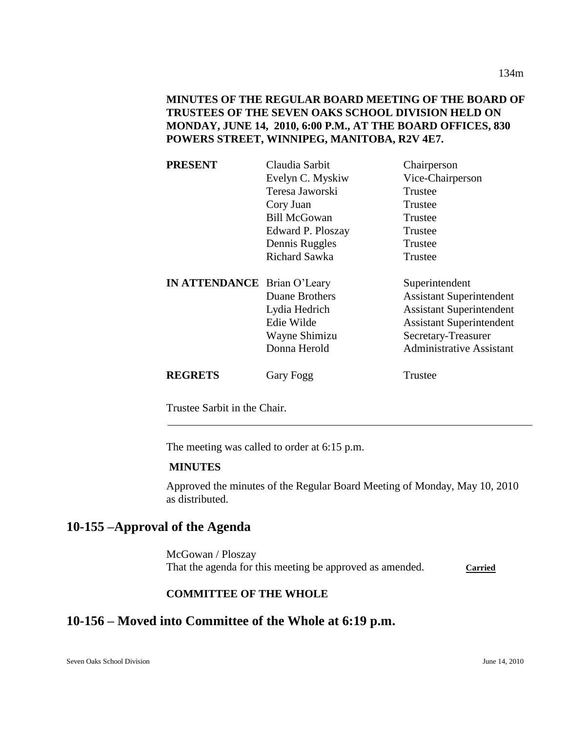# **MINUTES OF THE REGULAR BOARD MEETING OF THE BOARD OF TRUSTEES OF THE SEVEN OAKS SCHOOL DIVISION HELD ON MONDAY, JUNE 14, 2010, 6:00 P.M., AT THE BOARD OFFICES, 830 POWERS STREET, WINNIPEG, MANITOBA, R2V 4E7.**

| <b>PRESENT</b>                     | Claudia Sarbit       | Chairperson                     |
|------------------------------------|----------------------|---------------------------------|
|                                    | Evelyn C. Myskiw     | Vice-Chairperson                |
|                                    | Teresa Jaworski      | Trustee                         |
|                                    | Cory Juan            | Trustee                         |
|                                    | <b>Bill McGowan</b>  | Trustee                         |
|                                    | Edward P. Ploszay    | Trustee                         |
|                                    | Dennis Ruggles       | Trustee                         |
|                                    | <b>Richard Sawka</b> | Trustee                         |
| <b>IN ATTENDANCE</b> Brian O'Leary |                      | Superintendent                  |
|                                    | Duane Brothers       | <b>Assistant Superintendent</b> |
|                                    | Lydia Hedrich        | <b>Assistant Superintendent</b> |
|                                    | Edie Wilde           | <b>Assistant Superintendent</b> |
|                                    | Wayne Shimizu        | Secretary-Treasurer             |
|                                    | Donna Herold         | Administrative Assistant        |
| <b>REGRETS</b>                     | <b>Gary Fogg</b>     | Trustee                         |

Trustee Sarbit in the Chair.

The meeting was called to order at 6:15 p.m.

#### **MINUTES**

Approved the minutes of the Regular Board Meeting of Monday, May 10, 2010 as distributed.

# **10-155 –Approval of the Agenda**

McGowan / Ploszay That the agenda for this meeting be approved as amended. Carried

#### **COMMITTEE OF THE WHOLE**

# **10-156 – Moved into Committee of the Whole at 6:19 p.m.**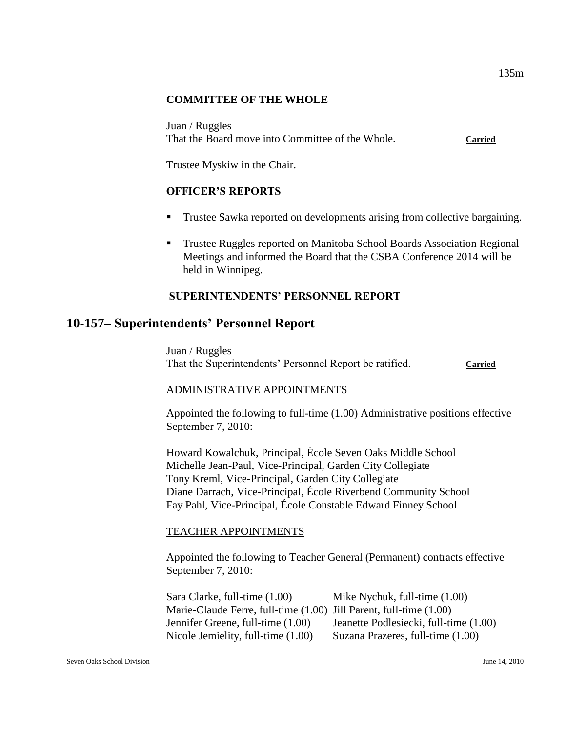### **COMMITTEE OF THE WHOLE**

Juan / Ruggles That the Board move into Committee of the Whole. **Carried**

Trustee Myskiw in the Chair.

### **OFFICER'S REPORTS**

- Trustee Sawka reported on developments arising from collective bargaining.
- **Trustee Ruggles reported on Manitoba School Boards Association Regional** Meetings and informed the Board that the CSBA Conference 2014 will be held in Winnipeg.

### **SUPERINTENDENTS' PERSONNEL REPORT**

# **10-157– Superintendents' Personnel Report**

Juan / Ruggles That the Superintendents' Personnel Report be ratified. **Carried**

# ADMINISTRATIVE APPOINTMENTS

Appointed the following to full-time (1.00) Administrative positions effective September 7, 2010:

Howard Kowalchuk, Principal, École Seven Oaks Middle School Michelle Jean-Paul, Vice-Principal, Garden City Collegiate Tony Kreml, Vice-Principal, Garden City Collegiate Diane Darrach, Vice-Principal, École Riverbend Community School Fay Pahl, Vice-Principal, École Constable Edward Finney School

#### TEACHER APPOINTMENTS

Appointed the following to Teacher General (Permanent) contracts effective September 7, 2010:

Sara Clarke, full-time (1.00) Mike Nychuk, full-time (1.00) Marie-Claude Ferre, full-time (1.00) Jill Parent, full-time (1.00) Jennifer Greene, full-time (1.00) Jeanette Podlesiecki, full-time (1.00) Nicole Jemielity, full-time (1.00) Suzana Prazeres, full-time (1.00)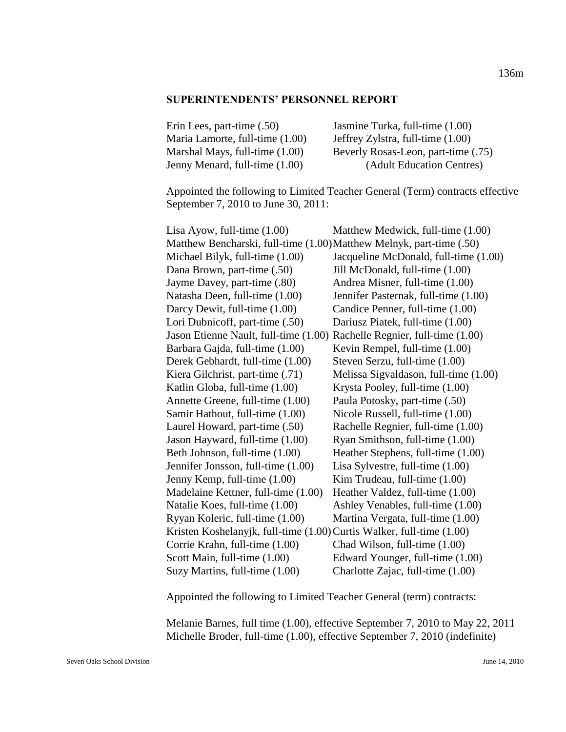| Erin Lees, part-time (.50)      | Jasmine Turka, full-time (1.00)     |
|---------------------------------|-------------------------------------|
| Maria Lamorte, full-time (1.00) | Jeffrey Zylstra, full-time (1.00)   |
| Marshal Mays, full-time (1.00)  | Beverly Rosas-Leon, part-time (.75) |
| Jenny Menard, full-time (1.00)  | (Adult Education Centres)           |

Appointed the following to Limited Teacher General (Term) contracts effective September 7, 2010 to June 30, 2011:

| Lisa Ayow, full-time $(1.00)$                                         | Matthew Medwick, full-time (1.00)     |  |
|-----------------------------------------------------------------------|---------------------------------------|--|
| Matthew Bencharski, full-time (1.00) Matthew Melnyk, part-time (.50)  |                                       |  |
| Michael Bilyk, full-time (1.00)                                       | Jacqueline McDonald, full-time (1.00) |  |
| Dana Brown, part-time (.50)                                           | Jill McDonald, full-time (1.00)       |  |
| Jayme Davey, part-time (.80)                                          | Andrea Misner, full-time (1.00)       |  |
| Natasha Deen, full-time (1.00)                                        | Jennifer Pasternak, full-time (1.00)  |  |
| Darcy Dewit, full-time (1.00)                                         | Candice Penner, full-time (1.00)      |  |
| Lori Dubnicoff, part-time (.50)                                       | Dariusz Piatek, full-time (1.00)      |  |
| Jason Etienne Nault, full-time (1.00)                                 | Rachelle Regnier, full-time (1.00)    |  |
| Barbara Gajda, full-time (1.00)                                       | Kevin Rempel, full-time (1.00)        |  |
| Derek Gebhardt, full-time (1.00)                                      | Steven Serzu, full-time (1.00)        |  |
| Kiera Gilchrist, part-time (.71)                                      | Melissa Sigvaldason, full-time (1.00) |  |
| Katlin Globa, full-time (1.00)                                        | Krysta Pooley, full-time (1.00)       |  |
| Annette Greene, full-time (1.00)                                      | Paula Potosky, part-time (.50)        |  |
| Samir Hathout, full-time (1.00)                                       | Nicole Russell, full-time (1.00)      |  |
| Laurel Howard, part-time (.50)                                        | Rachelle Regnier, full-time (1.00)    |  |
| Jason Hayward, full-time (1.00)                                       | Ryan Smithson, full-time (1.00)       |  |
| Beth Johnson, full-time (1.00)                                        | Heather Stephens, full-time (1.00)    |  |
| Jennifer Jonsson, full-time (1.00)                                    | Lisa Sylvestre, full-time (1.00)      |  |
| Jenny Kemp, full-time (1.00)                                          | Kim Trudeau, full-time (1.00)         |  |
| Madelaine Kettner, full-time (1.00)                                   | Heather Valdez, full-time (1.00)      |  |
| Natalie Koes, full-time (1.00)                                        | Ashley Venables, full-time (1.00)     |  |
| Ryyan Koleric, full-time (1.00)                                       | Martina Vergata, full-time (1.00)     |  |
| Kristen Koshelanyjk, full-time (1.00) Curtis Walker, full-time (1.00) |                                       |  |
| Corrie Krahn, full-time (1.00)                                        | Chad Wilson, full-time (1.00)         |  |
| Scott Main, full-time (1.00)                                          | Edward Younger, full-time (1.00)      |  |
| Suzy Martins, full-time (1.00)                                        | Charlotte Zajac, full-time (1.00)     |  |
|                                                                       |                                       |  |

Appointed the following to Limited Teacher General (term) contracts:

Melanie Barnes, full time (1.00), effective September 7, 2010 to May 22, 2011 Michelle Broder, full-time (1.00), effective September 7, 2010 (indefinite)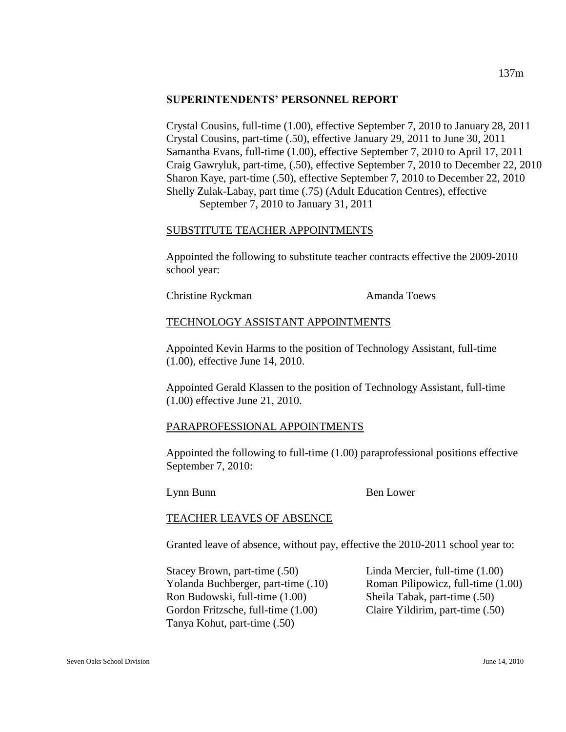Crystal Cousins, full-time (1.00), effective September 7, 2010 to January 28, 2011 Crystal Cousins, part-time (.50), effective January 29, 2011 to June 30, 2011 Samantha Evans, full-time (1.00), effective September 7, 2010 to April 17, 2011 Craig Gawryluk, part-time, (.50), effective September 7, 2010 to December 22, 2010 Sharon Kaye, part-time (.50), effective September 7, 2010 to December 22, 2010 Shelly Zulak-Labay, part time (.75) (Adult Education Centres), effective September 7, 2010 to January 31, 2011

#### SUBSTITUTE TEACHER APPOINTMENTS

Appointed the following to substitute teacher contracts effective the 2009-2010 school year:

Christine Ryckman Amanda Toews

#### TECHNOLOGY ASSISTANT APPOINTMENTS

Appointed Kevin Harms to the position of Technology Assistant, full-time (1.00), effective June 14, 2010.

Appointed Gerald Klassen to the position of Technology Assistant, full-time (1.00) effective June 21, 2010.

#### PARAPROFESSIONAL APPOINTMENTS

Appointed the following to full-time (1.00) paraprofessional positions effective September 7, 2010:

Lynn Bunn Bunn Ben Lower

#### TEACHER LEAVES OF ABSENCE

Granted leave of absence, without pay, effective the 2010-2011 school year to:

Stacey Brown, part-time (.50) Linda Mercier, full-time (1.00) Yolanda Buchberger, part-time (.10) Roman Pilipowicz, full-time (1.00) Ron Budowski, full-time (1.00) Sheila Tabak, part-time (.50) Gordon Fritzsche, full-time (1.00) Claire Yildirim, part-time (.50) Tanya Kohut, part-time (.50)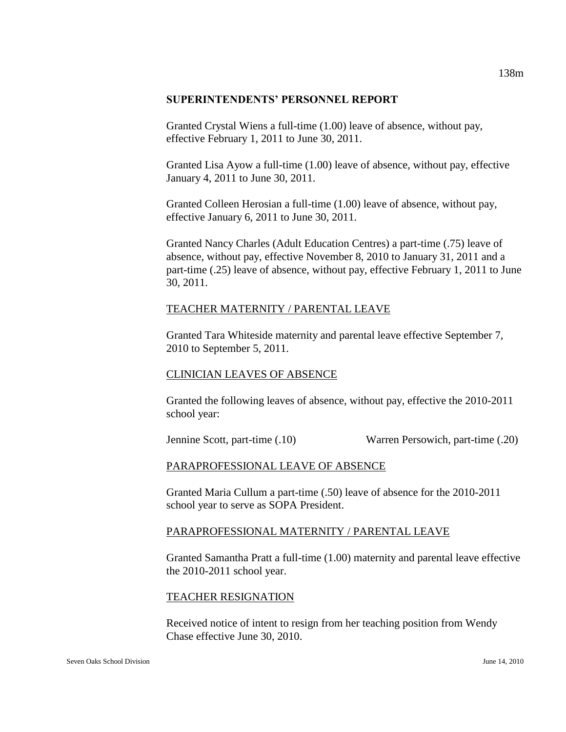Granted Crystal Wiens a full-time (1.00) leave of absence, without pay, effective February 1, 2011 to June 30, 2011.

Granted Lisa Ayow a full-time (1.00) leave of absence, without pay, effective January 4, 2011 to June 30, 2011.

Granted Colleen Herosian a full-time (1.00) leave of absence, without pay, effective January 6, 2011 to June 30, 2011.

Granted Nancy Charles (Adult Education Centres) a part-time (.75) leave of absence, without pay, effective November 8, 2010 to January 31, 2011 and a part-time (.25) leave of absence, without pay, effective February 1, 2011 to June 30, 2011.

#### TEACHER MATERNITY / PARENTAL LEAVE

Granted Tara Whiteside maternity and parental leave effective September 7, 2010 to September 5, 2011.

### CLINICIAN LEAVES OF ABSENCE

Granted the following leaves of absence, without pay, effective the 2010-2011 school year:

Jennine Scott, part-time (.10) Warren Persowich, part-time (.20)

#### PARAPROFESSIONAL LEAVE OF ABSENCE

Granted Maria Cullum a part-time (.50) leave of absence for the 2010-2011 school year to serve as SOPA President.

#### PARAPROFESSIONAL MATERNITY / PARENTAL LEAVE

Granted Samantha Pratt a full-time (1.00) maternity and parental leave effective the 2010-2011 school year.

#### TEACHER RESIGNATION

Received notice of intent to resign from her teaching position from Wendy Chase effective June 30, 2010.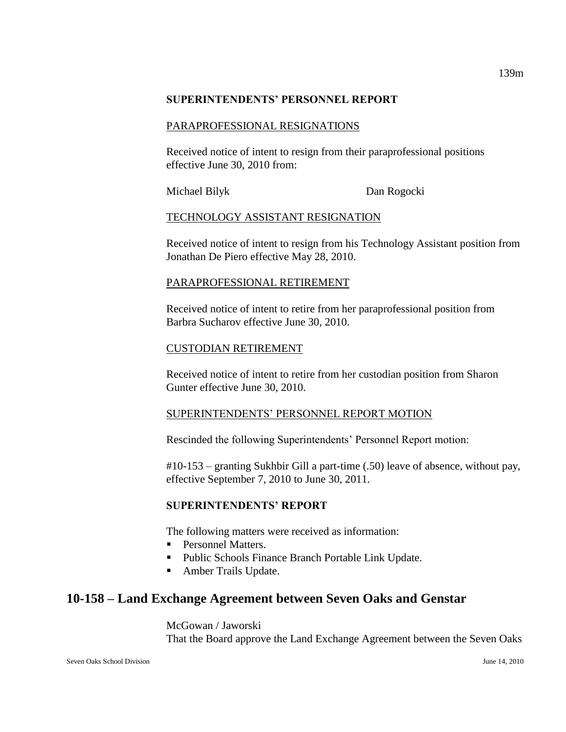### PARAPROFESSIONAL RESIGNATIONS

Received notice of intent to resign from their paraprofessional positions effective June 30, 2010 from:

Michael Bilyk Dan Rogocki

### TECHNOLOGY ASSISTANT RESIGNATION

Received notice of intent to resign from his Technology Assistant position from Jonathan De Piero effective May 28, 2010.

# PARAPROFESSIONAL RETIREMENT

Received notice of intent to retire from her paraprofessional position from Barbra Sucharov effective June 30, 2010.

#### CUSTODIAN RETIREMENT

Received notice of intent to retire from her custodian position from Sharon Gunter effective June 30, 2010.

# SUPERINTENDENTS' PERSONNEL REPORT MOTION

Rescinded the following Superintendents' Personnel Report motion:

#10-153 – granting Sukhbir Gill a part-time (.50) leave of absence, without pay, effective September 7, 2010 to June 30, 2011.

# **SUPERINTENDENTS' REPORT**

The following matters were received as information:

- Personnel Matters.
- Public Schools Finance Branch Portable Link Update.
- **Amber Trails Update.**

# **10-158 – Land Exchange Agreement between Seven Oaks and Genstar**

McGowan / Jaworski That the Board approve the Land Exchange Agreement between the Seven Oaks

139m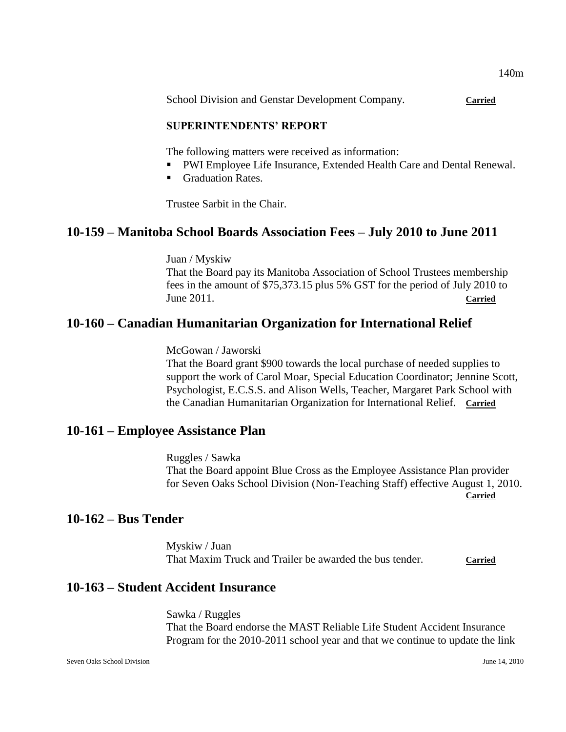School Division and Genstar Development Company. **Carried** 

### **SUPERINTENDENTS' REPORT**

The following matters were received as information:

- PWI Employee Life Insurance, Extended Health Care and Dental Renewal.
- Graduation Rates.

Trustee Sarbit in the Chair.

# **10-159 – Manitoba School Boards Association Fees – July 2010 to June 2011**

Juan / Myskiw That the Board pay its Manitoba Association of School Trustees membership fees in the amount of \$75,373.15 plus 5% GST for the period of July 2010 to June 2011. **Carried**

# **10-160 – Canadian Humanitarian Organization for International Relief**

McGowan / Jaworski

That the Board grant \$900 towards the local purchase of needed supplies to support the work of Carol Moar, Special Education Coordinator; Jennine Scott, Psychologist, E.C.S.S. and Alison Wells, Teacher, Margaret Park School with the Canadian Humanitarian Organization for International Relief. **Carried**

# **10-161 – Employee Assistance Plan**

Ruggles / Sawka That the Board appoint Blue Cross as the Employee Assistance Plan provider for Seven Oaks School Division (Non-Teaching Staff) effective August 1, 2010.

**Carried**

# **10-162 – Bus Tender**

Myskiw / Juan That Maxim Truck and Trailer be awarded the bus tender. **Carried**

# **10-163 – Student Accident Insurance**

Sawka / Ruggles That the Board endorse the MAST Reliable Life Student Accident Insurance Program for the 2010-2011 school year and that we continue to update the link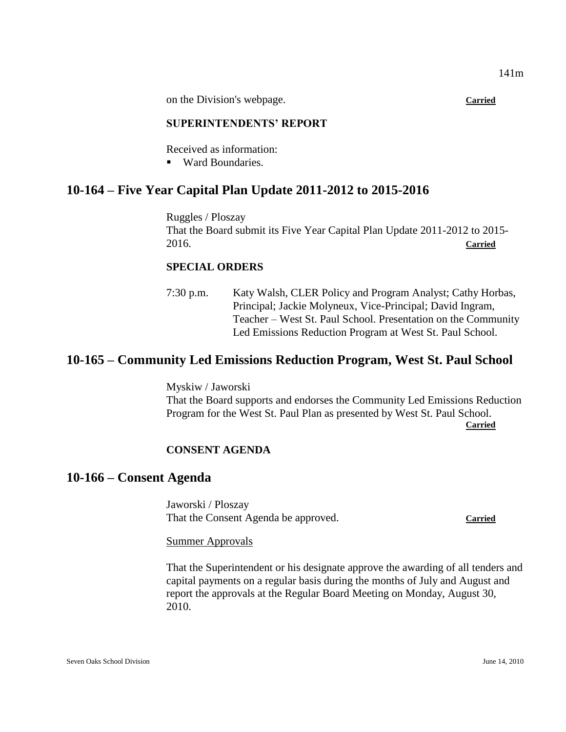141m

on the Division's webpage. **Carried**

# **SUPERINTENDENTS' REPORT**

Received as information:

■ Ward Boundaries.

# **10-164 – Five Year Capital Plan Update 2011-2012 to 2015-2016**

Ruggles / Ploszay That the Board submit its Five Year Capital Plan Update 2011-2012 to 2015- 2016. **Carried**

# **SPECIAL ORDERS**

7:30 p.m. Katy Walsh, CLER Policy and Program Analyst; Cathy Horbas, Principal; Jackie Molyneux, Vice-Principal; David Ingram, Teacher – West St. Paul School. Presentation on the Community Led Emissions Reduction Program at West St. Paul School.

# **10-165 – Community Led Emissions Reduction Program, West St. Paul School**

Myskiw / Jaworski That the Board supports and endorses the Community Led Emissions Reduction Program for the West St. Paul Plan as presented by West St. Paul School. **Carried**

# **CONSENT AGENDA**

# **10-166 – Consent Agenda**

Jaworski / Ploszay That the Consent Agenda be approved. **Carried**

#### Summer Approvals

That the Superintendent or his designate approve the awarding of all tenders and capital payments on a regular basis during the months of July and August and report the approvals at the Regular Board Meeting on Monday, August 30, 2010.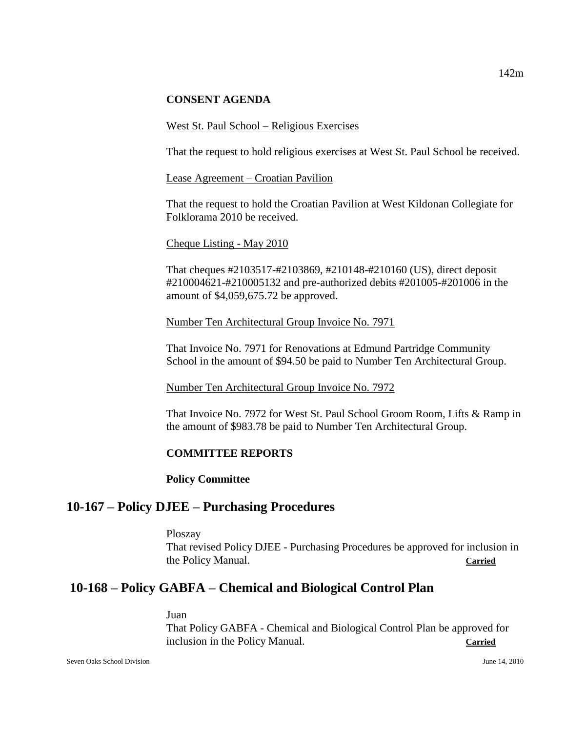### **CONSENT AGENDA**

### West St. Paul School – Religious Exercises

That the request to hold religious exercises at West St. Paul School be received.

Lease Agreement – Croatian Pavilion

That the request to hold the Croatian Pavilion at West Kildonan Collegiate for Folklorama 2010 be received.

Cheque Listing - May 2010

That cheques #2103517-#2103869, #210148-#210160 (US), direct deposit #210004621-#210005132 and pre-authorized debits #201005-#201006 in the amount of \$4,059,675.72 be approved.

Number Ten Architectural Group Invoice No. 7971

That Invoice No. 7971 for Renovations at Edmund Partridge Community School in the amount of \$94.50 be paid to Number Ten Architectural Group.

Number Ten Architectural Group Invoice No. 7972

That Invoice No. 7972 for West St. Paul School Groom Room, Lifts & Ramp in the amount of \$983.78 be paid to Number Ten Architectural Group.

# **COMMITTEE REPORTS**

**Policy Committee**

# **10-167 – Policy DJEE – Purchasing Procedures**

Ploszay

That revised Policy DJEE - Purchasing Procedures be approved for inclusion in the Policy Manual. **Carried**

# **10-168 – Policy GABFA – Chemical and Biological Control Plan**

Juan That Policy GABFA - Chemical and Biological Control Plan be approved for inclusion in the Policy Manual. **Carried**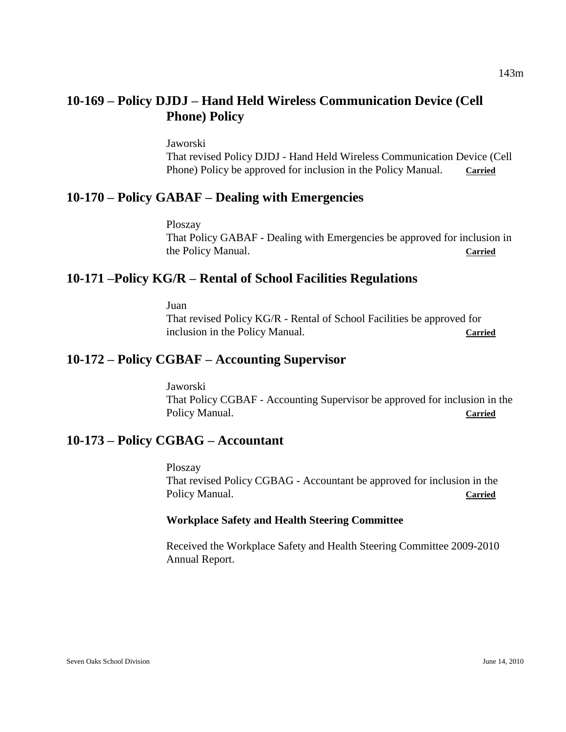# **10-169 – Policy DJDJ – Hand Held Wireless Communication Device (Cell Phone) Policy**

Jaworski

That revised Policy DJDJ - Hand Held Wireless Communication Device (Cell Phone) Policy be approved for inclusion in the Policy Manual. **Carried** 

# **10-170 – Policy GABAF – Dealing with Emergencies**

Ploszay That Policy GABAF - Dealing with Emergencies be approved for inclusion in the Policy Manual. **Carried**

# **10-171 –Policy KG/R – Rental of School Facilities Regulations**

Juan

That revised Policy KG/R - Rental of School Facilities be approved for inclusion in the Policy Manual. **Carried**

# **10-172 – Policy CGBAF – Accounting Supervisor**

Jaworski That Policy CGBAF - Accounting Supervisor be approved for inclusion in the Policy Manual. **Carried** 

# **10-173 – Policy CGBAG – Accountant**

Ploszay That revised Policy CGBAG - Accountant be approved for inclusion in the Policy Manual. **Carried**

# **Workplace Safety and Health Steering Committee**

Received the Workplace Safety and Health Steering Committee 2009-2010 Annual Report.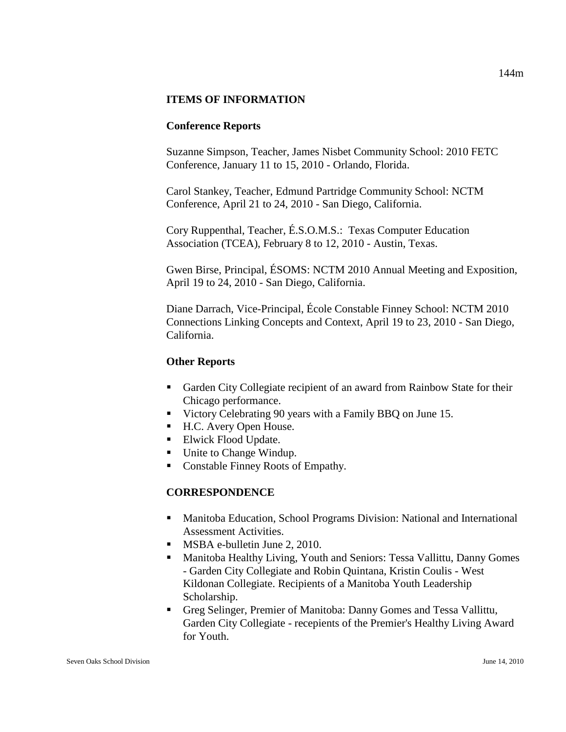### **ITEMS OF INFORMATION**

### **Conference Reports**

Suzanne Simpson, Teacher, James Nisbet Community School: 2010 FETC Conference, January 11 to 15, 2010 - Orlando, Florida.

Carol Stankey, Teacher, Edmund Partridge Community School: NCTM Conference, April 21 to 24, 2010 - San Diego, California.

Cory Ruppenthal, Teacher, É.S.O.M.S.: Texas Computer Education Association (TCEA), February 8 to 12, 2010 - Austin, Texas.

Gwen Birse, Principal, ÉSOMS: NCTM 2010 Annual Meeting and Exposition, April 19 to 24, 2010 - San Diego, California.

Diane Darrach, Vice-Principal, École Constable Finney School: NCTM 2010 Connections Linking Concepts and Context, April 19 to 23, 2010 - San Diego, California.

### **Other Reports**

- Garden City Collegiate recipient of an award from Rainbow State for their Chicago performance.
- Victory Celebrating 90 years with a Family BBQ on June 15.
- H.C. Avery Open House.
- **Elwick Flood Update.**
- **Unite to Change Windup.**
- Constable Finney Roots of Empathy.

# **CORRESPONDENCE**

- Manitoba Education, School Programs Division: National and International Assessment Activities.
- **MSBA e-bulletin June 2, 2010.**
- Manitoba Healthy Living, Youth and Seniors: Tessa Vallittu, Danny Gomes - Garden City Collegiate and Robin Quintana, Kristin Coulis - West Kildonan Collegiate. Recipients of a Manitoba Youth Leadership Scholarship.
- Greg Selinger, Premier of Manitoba: Danny Gomes and Tessa Vallittu, Garden City Collegiate - recepients of the Premier's Healthy Living Award for Youth.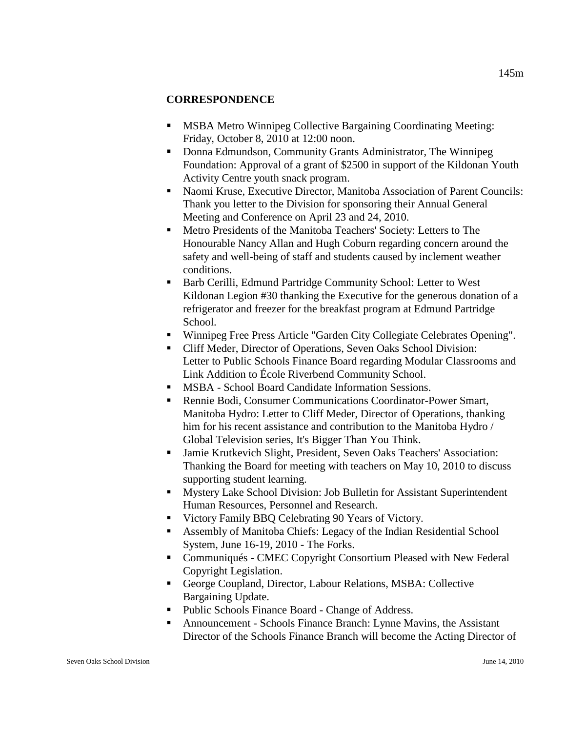# **CORRESPONDENCE**

- MSBA Metro Winnipeg Collective Bargaining Coordinating Meeting: Friday, October 8, 2010 at 12:00 noon.
- Donna Edmundson, Community Grants Administrator, The Winnipeg Foundation: Approval of a grant of \$2500 in support of the Kildonan Youth Activity Centre youth snack program.
- Naomi Kruse, Executive Director, Manitoba Association of Parent Councils: Thank you letter to the Division for sponsoring their Annual General Meeting and Conference on April 23 and 24, 2010.
- Metro Presidents of the Manitoba Teachers' Society: Letters to The Honourable Nancy Allan and Hugh Coburn regarding concern around the safety and well-being of staff and students caused by inclement weather conditions.
- Barb Cerilli, Edmund Partridge Community School: Letter to West Kildonan Legion #30 thanking the Executive for the generous donation of a refrigerator and freezer for the breakfast program at Edmund Partridge School.
- Winnipeg Free Press Article "Garden City Collegiate Celebrates Opening".
- Cliff Meder, Director of Operations, Seven Oaks School Division: Letter to Public Schools Finance Board regarding Modular Classrooms and Link Addition to École Riverbend Community School.
- MSBA School Board Candidate Information Sessions.
- Rennie Bodi, Consumer Communications Coordinator-Power Smart, Manitoba Hydro: Letter to Cliff Meder, Director of Operations, thanking him for his recent assistance and contribution to the Manitoba Hydro / Global Television series, It's Bigger Than You Think.
- Jamie Krutkevich Slight, President, Seven Oaks Teachers' Association: Thanking the Board for meeting with teachers on May 10, 2010 to discuss supporting student learning.
- Mystery Lake School Division: Job Bulletin for Assistant Superintendent Human Resources, Personnel and Research.
- **Victory Family BBQ Celebrating 90 Years of Victory.**
- Assembly of Manitoba Chiefs: Legacy of the Indian Residential School System, June 16-19, 2010 - The Forks.
- **Communiqués CMEC Copyright Consortium Pleased with New Federal** Copyright Legislation.
- George Coupland, Director, Labour Relations, MSBA: Collective Bargaining Update.
- Public Schools Finance Board Change of Address.
- Announcement Schools Finance Branch: Lynne Mavins, the Assistant Director of the Schools Finance Branch will become the Acting Director of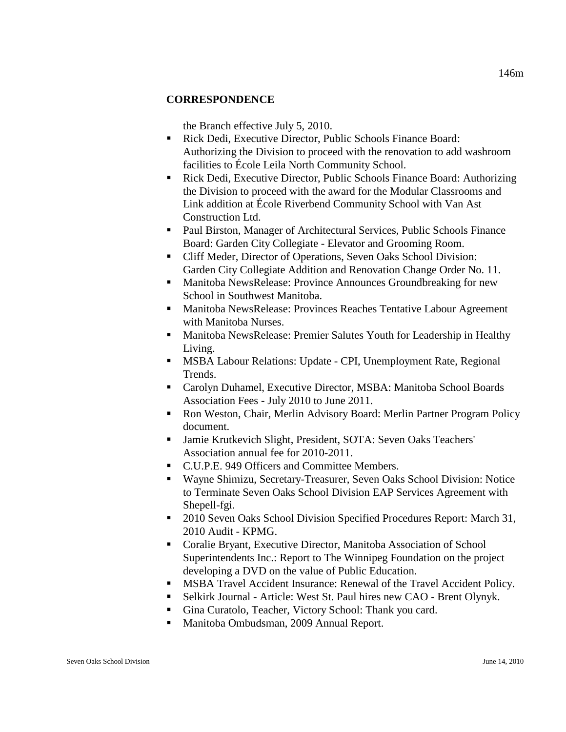# **CORRESPONDENCE**

the Branch effective July 5, 2010.

- Rick Dedi, Executive Director, Public Schools Finance Board: Authorizing the Division to proceed with the renovation to add washroom facilities to École Leila North Community School.
- Rick Dedi, Executive Director, Public Schools Finance Board: Authorizing the Division to proceed with the award for the Modular Classrooms and Link addition at École Riverbend Community School with Van Ast Construction Ltd.
- Paul Birston, Manager of Architectural Services, Public Schools Finance Board: Garden City Collegiate - Elevator and Grooming Room.
- Cliff Meder, Director of Operations, Seven Oaks School Division: Garden City Collegiate Addition and Renovation Change Order No. 11.
- Manitoba NewsRelease: Province Announces Groundbreaking for new School in Southwest Manitoba.
- Manitoba NewsRelease: Provinces Reaches Tentative Labour Agreement with Manitoba Nurses.
- **Manitoba NewsRelease: Premier Salutes Youth for Leadership in Healthy** Living.
- MSBA Labour Relations: Update CPI, Unemployment Rate, Regional Trends.
- Carolyn Duhamel, Executive Director, MSBA: Manitoba School Boards Association Fees - July 2010 to June 2011.
- Ron Weston, Chair, Merlin Advisory Board: Merlin Partner Program Policy document.
- Jamie Krutkevich Slight, President, SOTA: Seven Oaks Teachers' Association annual fee for 2010-2011.
- C.U.P.E. 949 Officers and Committee Members.
- Wayne Shimizu, Secretary-Treasurer, Seven Oaks School Division: Notice to Terminate Seven Oaks School Division EAP Services Agreement with Shepell-fgi.
- 2010 Seven Oaks School Division Specified Procedures Report: March 31, 2010 Audit - KPMG.
- Coralie Bryant, Executive Director, Manitoba Association of School Superintendents Inc.: Report to The Winnipeg Foundation on the project developing a DVD on the value of Public Education.
- MSBA Travel Accident Insurance: Renewal of the Travel Accident Policy.
- Selkirk Journal Article: West St. Paul hires new CAO Brent Olynyk.
- Gina Curatolo, Teacher, Victory School: Thank you card.
- Manitoba Ombudsman, 2009 Annual Report.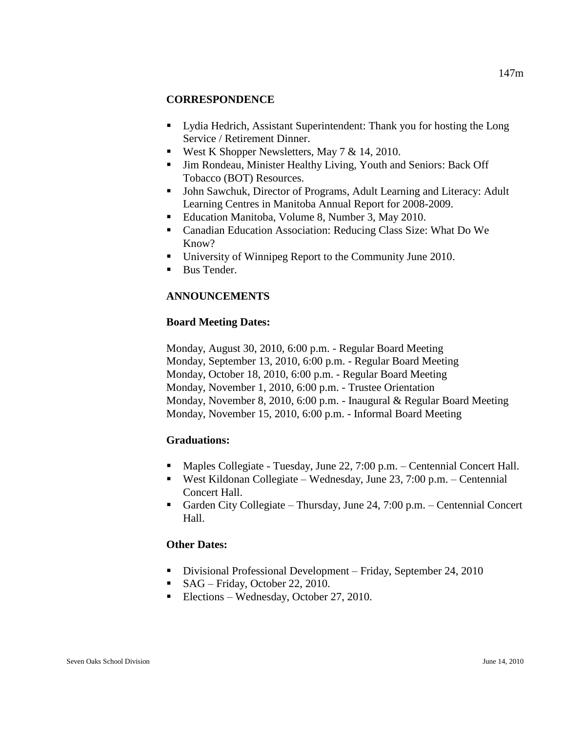# **CORRESPONDENCE**

- Lydia Hedrich, Assistant Superintendent: Thank you for hosting the Long Service / Retirement Dinner.
- West K Shopper Newsletters, May  $7 < 14, 2010$ .
- Jim Rondeau, Minister Healthy Living, Youth and Seniors: Back Off Tobacco (BOT) Resources.
- **John Sawchuk, Director of Programs, Adult Learning and Literacy: Adult** Learning Centres in Manitoba Annual Report for 2008-2009.
- Education Manitoba, Volume 8, Number 3, May 2010.
- Canadian Education Association: Reducing Class Size: What Do We Know?
- University of Winnipeg Report to the Community June 2010.
- Bus Tender.

# **ANNOUNCEMENTS**

# **Board Meeting Dates:**

Monday, August 30, 2010, 6:00 p.m. - Regular Board Meeting Monday, September 13, 2010, 6:00 p.m. - Regular Board Meeting Monday, October 18, 2010, 6:00 p.m. - Regular Board Meeting Monday, November 1, 2010, 6:00 p.m. - Trustee Orientation Monday, November 8, 2010, 6:00 p.m. - Inaugural & Regular Board Meeting Monday, November 15, 2010, 6:00 p.m. - Informal Board Meeting

# **Graduations:**

- Maples Collegiate Tuesday, June 22, 7:00 p.m. Centennial Concert Hall.
- West Kildonan Collegiate Wednesday, June 23, 7:00 p.m. Centennial Concert Hall.
- Garden City Collegiate Thursday, June 24, 7:00 p.m. Centennial Concert Hall.

# **Other Dates:**

- Divisional Professional Development Friday, September 24, 2010
- SAG Friday, October 22, 2010.
- Elections Wednesday, October 27, 2010.